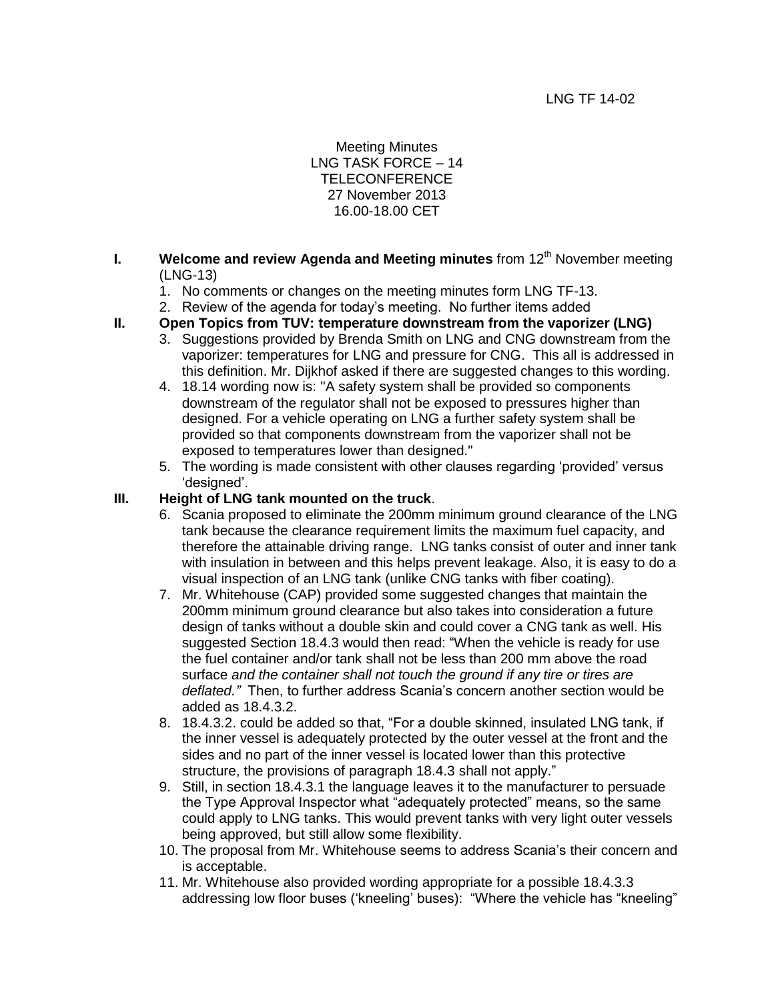Meeting Minutes LNG TASK FORCE – 14 TELECONFERENCE 27 November 2013 16.00-18.00 CET

- **I. Welcome and review Agenda and Meeting minutes** from 12<sup>th</sup> November meeting (LNG-13)
	- 1. No comments or changes on the meeting minutes form LNG TF-13.
	- 2. Review of the agenda for today's meeting. No further items added

# **II. Open Topics from TUV: temperature downstream from the vaporizer (LNG)**

- 3. Suggestions provided by Brenda Smith on LNG and CNG downstream from the vaporizer: temperatures for LNG and pressure for CNG. This all is addressed in this definition. Mr. Dijkhof asked if there are suggested changes to this wording.
- 4. 18.14 wording now is: "A safety system shall be provided so components downstream of the regulator shall not be exposed to pressures higher than designed. For a vehicle operating on LNG a further safety system shall be provided so that components downstream from the vaporizer shall not be exposed to temperatures lower than designed."
- 5. The wording is made consistent with other clauses regarding 'provided' versus 'designed'.

## **III. Height of LNG tank mounted on the truck**.

- 6. Scania proposed to eliminate the 200mm minimum ground clearance of the LNG tank because the clearance requirement limits the maximum fuel capacity, and therefore the attainable driving range. LNG tanks consist of outer and inner tank with insulation in between and this helps prevent leakage. Also, it is easy to do a visual inspection of an LNG tank (unlike CNG tanks with fiber coating).
- 7. Mr. Whitehouse (CAP) provided some suggested changes that maintain the 200mm minimum ground clearance but also takes into consideration a future design of tanks without a double skin and could cover a CNG tank as well. His suggested Section 18.4.3 would then read: "When the vehicle is ready for use the fuel container and/or tank shall not be less than 200 mm above the road surface *and the container shall not touch the ground if any tire or tires are deflated."* Then, to further address Scania's concern another section would be added as 18.4.3.2.
- 8. 18.4.3.2. could be added so that, "For a double skinned, insulated LNG tank, if the inner vessel is adequately protected by the outer vessel at the front and the sides and no part of the inner vessel is located lower than this protective structure, the provisions of paragraph 18.4.3 shall not apply."
- 9. Still, in section 18.4.3.1 the language leaves it to the manufacturer to persuade the Type Approval Inspector what "adequately protected" means, so the same could apply to LNG tanks. This would prevent tanks with very light outer vessels being approved, but still allow some flexibility.
- 10. The proposal from Mr. Whitehouse seems to address Scania's their concern and is acceptable.
- 11. Mr. Whitehouse also provided wording appropriate for a possible 18.4.3.3 addressing low floor buses ('kneeling' buses): "Where the vehicle has "kneeling"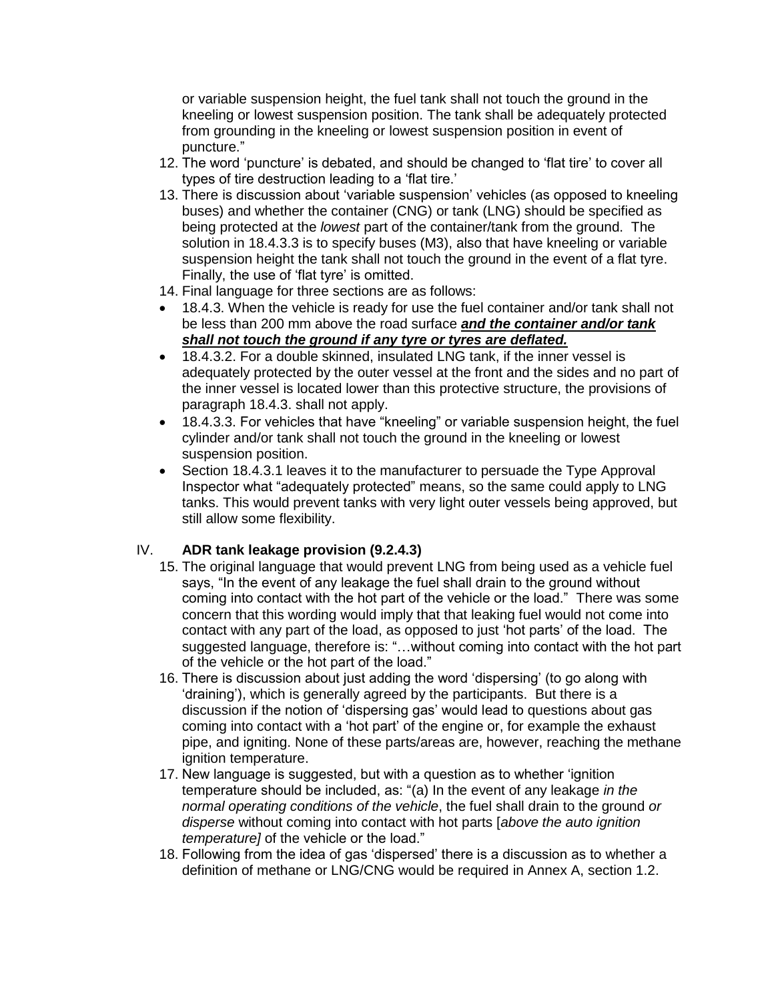or variable suspension height, the fuel tank shall not touch the ground in the kneeling or lowest suspension position. The tank shall be adequately protected from grounding in the kneeling or lowest suspension position in event of puncture."

- 12. The word 'puncture' is debated, and should be changed to 'flat tire' to cover all types of tire destruction leading to a 'flat tire.'
- 13. There is discussion about 'variable suspension' vehicles (as opposed to kneeling buses) and whether the container (CNG) or tank (LNG) should be specified as being protected at the *lowest* part of the container/tank from the ground. The solution in 18.4.3.3 is to specify buses (M3), also that have kneeling or variable suspension height the tank shall not touch the ground in the event of a flat tyre. Finally, the use of 'flat tyre' is omitted.
- 14. Final language for three sections are as follows:
- 18.4.3. When the vehicle is ready for use the fuel container and/or tank shall not be less than 200 mm above the road surface *and the container and/or tank shall not touch the ground if any tyre or tyres are deflated.*
- 18.4.3.2. For a double skinned, insulated LNG tank, if the inner vessel is adequately protected by the outer vessel at the front and the sides and no part of the inner vessel is located lower than this protective structure, the provisions of paragraph 18.4.3. shall not apply.
- 18.4.3.3. For vehicles that have "kneeling" or variable suspension height, the fuel cylinder and/or tank shall not touch the ground in the kneeling or lowest suspension position.
- Section 18.4.3.1 leaves it to the manufacturer to persuade the Type Approval Inspector what "adequately protected" means, so the same could apply to LNG tanks. This would prevent tanks with very light outer vessels being approved, but still allow some flexibility.

# IV. **ADR tank leakage provision (9.2.4.3)**

- 15. The original language that would prevent LNG from being used as a vehicle fuel says, "In the event of any leakage the fuel shall drain to the ground without coming into contact with the hot part of the vehicle or the load." There was some concern that this wording would imply that that leaking fuel would not come into contact with any part of the load, as opposed to just 'hot parts' of the load. The suggested language, therefore is: "…without coming into contact with the hot part of the vehicle or the hot part of the load."
- 16. There is discussion about just adding the word 'dispersing' (to go along with 'draining'), which is generally agreed by the participants. But there is a discussion if the notion of 'dispersing gas' would lead to questions about gas coming into contact with a 'hot part' of the engine or, for example the exhaust pipe, and igniting. None of these parts/areas are, however, reaching the methane ignition temperature.
- 17. New language is suggested, but with a question as to whether 'ignition temperature should be included, as: "(a) In the event of any leakage *in the normal operating conditions of the vehicle*, the fuel shall drain to the ground *or disperse* without coming into contact with hot parts [*above the auto ignition temperature]* of the vehicle or the load."
- 18. Following from the idea of gas 'dispersed' there is a discussion as to whether a definition of methane or LNG/CNG would be required in Annex A, section 1.2.